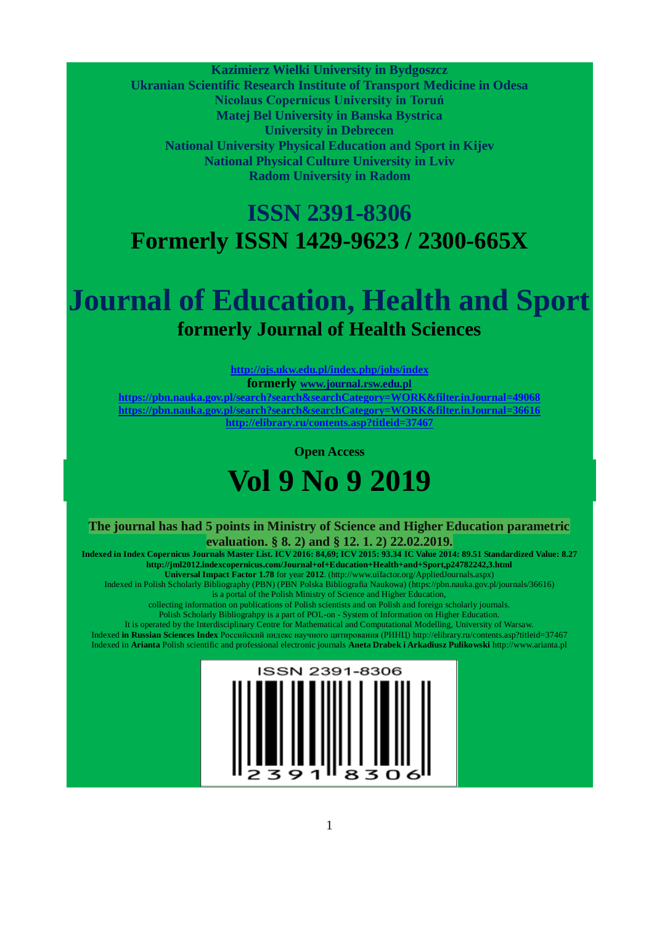**Kazimierz Wielki University in Bydgoszcz**

**Ukranian Scientific Research Institute of Transport Medicine in Odesa Nicolaus Copernicus University in Toruń Matej Bel University in Banska Bystrica University in Debrecen National University Physical Education and Sport in Kijev National Physical Culture University in Lviv Radom University in Radom**

## **ISSN 2391-8306 Formerly ISSN 1429-9623 / 2300-665X**

# **Journal of Education, Health and Sport formerly Journal of Health Sciences**

**http://ojs.ukw.edu.pl/index.php/johs/index formerly www.journal.rsw.edu.pl https://pbn.nauka.gov.pl/search?search&searchCategory=WORK&filter.inJournal=49068 https://pbn.nauka.gov.pl/search?search&searchCategory=WORK&filter.inJournal=36616 http://elibrary.ru/contents.asp?titleid=37467**

**Open Access**

# **Vol 9 No 9 2019**

**The journal has had 5 points in Ministry of Science and Higher Education parametric evaluation. § 8. 2) and § 12. 1. 2) 22.02.2019.**

**Indexed in Index Copernicus Journals Master List. ICV 2016: 84,69; ICV 2015: 93.34 IC Value 2014: 89.51 Standardized Value: 8.27 http://jml2012.indexcopernicus.com/Journal+of+Education+Health+and+Sport,p24782242,3.html Universal Impact Factor 1.78** for year **2012**. (http://www.uifactor.org/AppliedJournals.aspx)

Indexed in Polish Scholarly Bibliography (PBN) (PBN Polska Bibliografia Naukowa) (https://pbn.nauka.gov.pl/journals/36616) is a portal of the Polish Ministry of Science and Higher Education,

collecting information on publications of Polish scientists and on Polish and foreign scholarly journals.

Polish Scholarly Bibliograhpy is a part of POL-on - System of Information on Higher Education.

It is operated by the Interdisciplinary Centre for Mathematical and Computational Modelling, University of Warsaw. Indexed **in Russian Sciences Index** Российский индекс научного цитирования (РИНЦ) http://elibrary.ru/contents.asp?titleid=37467 Indexed in **Arianta** Polish scientific and professional electronic journals **Aneta Drabek i Arkadiusz Pulikowski** http://www.arianta.pl



 $\overline{\phantom{a}}$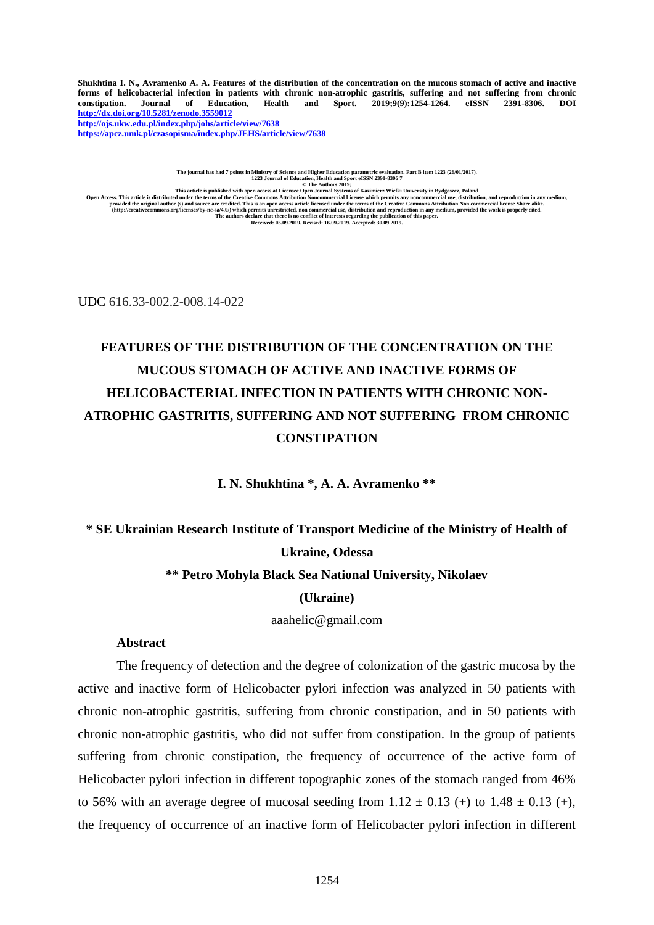Shukhtina I. N., Avramenko A. A. Features of the distribution of the concentration on the mucous stomach of active and inactive forms of helicobacterial infection in patients with chronic non-atrophic gastritis, suffering and not suffering from chronic **constipation. Journal of Education, Health and Sport. 2019;9(9):1254-1264. eISSN 2391-8306. DOI <http://dx.doi.org/10.5281/zenodo.3559012> <http://ojs.ukw.edu.pl/index.php/johs/article/view/7638> <https://apcz.umk.pl/czasopisma/index.php/JEHS/article/view/7638>**

The journal has had 7 points in  $1223$  Journal of Education, Health and Sport eISSN 2391-8306 7<br>Den Access. This article is published with open access at License and Higher Education, Parthor SQ19;<br>This article is publish

UDC 616.33-002.2-008.14-022

## **FEATURES OF THE DISTRIBUTION OF THE CONCENTRATION ON THE MUCOUS STOMACH OF ACTIVE AND INACTIVE FORMS OF HELICOBACTERIAL INFECTION IN PATIENTS WITH CHRONIC NON-ATROPHIC GASTRITIS, SUFFERING AND NOT SUFFERING FROM CHRONIC CONSTIPATION**

**I. N. Shukhtina \*, A. A. Avramenko \*\***

## **\* SE Ukrainian Research Institute of Transport Medicine of the Ministry of Health of Ukraine, Odessa \*\* Petro Mohyla Black Sea National University, Nikolaev**

#### **(Ukraine)**

[aaahelic@gmail.com](mailto:aaahelic@gmail.com)

#### **Abstract**

The frequency of detection and the degree of colonization of the gastric mucosa by the active and inactive form of Helicobacter pylori infection was analyzed in 50 patients with chronic non-atrophic gastritis, suffering from chronic constipation, and in 50 patients with chronic non-atrophic gastritis, who did not suffer from constipation. In the group of patients suffering from chronic constipation, the frequency of occurrence of the active form of Helicobacter pylori infection in different topographic zones of the stomach ranged from 46% to 56% with an average degree of mucosal seeding from  $1.12 \pm 0.13$  (+) to  $1.48 \pm 0.13$  (+), the frequency of occurrence of an inactive form of Helicobacter pylori infection in different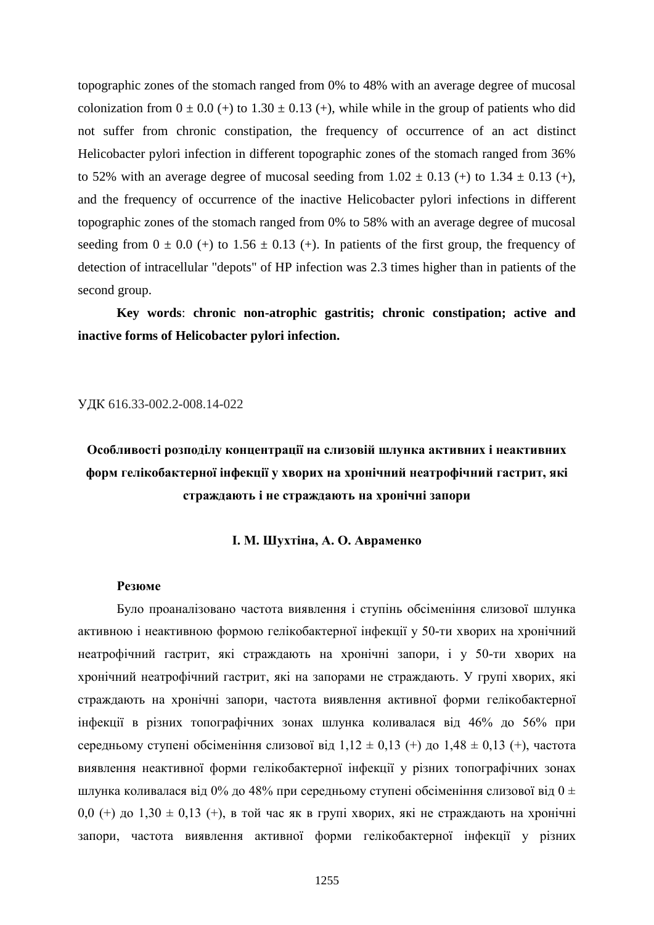topographic zones of the stomach ranged from 0% to 48% with an average degree of mucosal colonization from  $0 \pm 0.0$  (+) to  $1.30 \pm 0.13$  (+), while while in the group of patients who did not suffer from chronic constipation, the frequency of occurrence of an act distinct Helicobacter pylori infection in different topographic zones of the stomach ranged from 36% to 52% with an average degree of mucosal seeding from  $1.02 \pm 0.13$  (+) to  $1.34 \pm 0.13$  (+), and the frequency of occurrence of the inactive Helicobacter pylori infections in different topographic zones of the stomach ranged from 0% to 58% with an average degree of mucosal seeding from  $0 \pm 0.0$  (+) to  $1.56 \pm 0.13$  (+). In patients of the first group, the frequency of detection of intracellular "depots" of HP infection was 2.3 times higher than in patients of the second group.

**Key words**: **chronic non-atrophic gastritis; chronic constipation; active and inactive forms of Helicobacter pylori infection.**

#### УДК 616.33-002.2-008.14-022

## **Особливості розподілу концентрації на слизовій шлунка активних і неактивних форм гелікобактерної інфекції у хворих на хронічний неатрофічний гастрит, які страждають і не страждають на хронічні запори**

#### **І. М. Шухтіна, А. О. Авраменко**

#### **Резюме**

Було проаналізовано частота виявлення і ступінь обсіменіння слизової шлунка активною і неактивною формою гелікобактерної інфекції у 50-ти хворих на хронічний неатрофічний гастрит, які страждають на хронічні запори, і у 50-ти хворих на хронічний неатрофічний гастрит, які на запорами не страждають. У групі хворих, які страждають на хронічні запори, частота виявлення активної форми гелікобактерної інфекції в різних топографічних зонах шлунка коливалася від 46% до 56% при середньому ступені обсіменіння слизової від  $1,12 \pm 0,13$  (+) до  $1,48 \pm 0,13$  (+), частота виявлення неактивної форми гелікобактерної інфекції у різних топографічних зонах шлунка коливалася від 0% до 48% при середньому ступені обсіменіння слизової від 0 ± 0,0 (+) до 1,30  $\pm$  0,13 (+), в той час як в групі хворих, які не страждають на хронічні запори, частота виявлення активної форми гелікобактерної інфекції у різних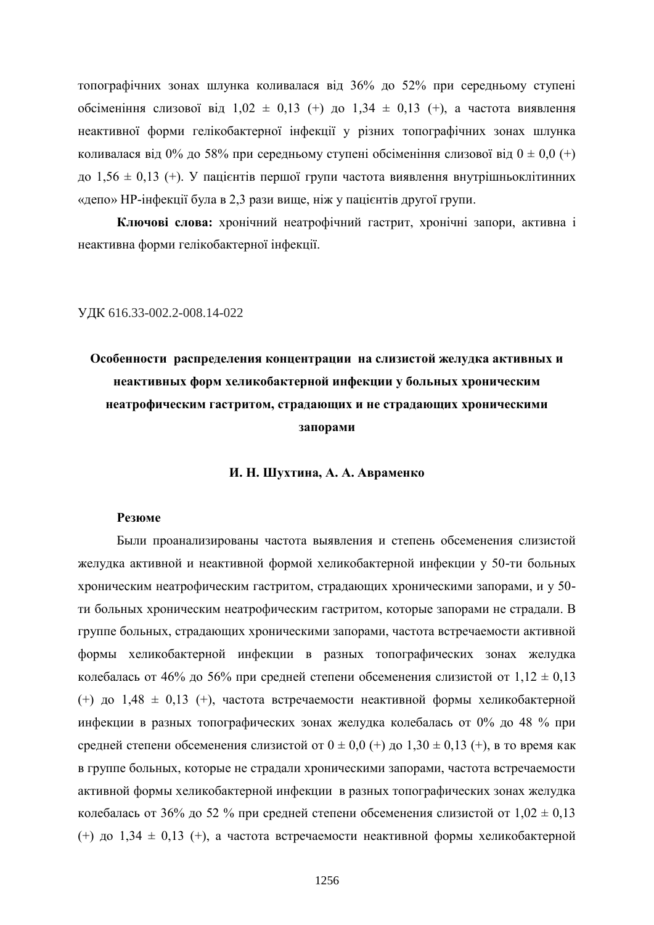топографічних зонах шлунка коливалася від 36% до 52% при середньому ступені обсіменіння слизової від 1,02 ± 0,13 (+) до 1,34 ± 0,13 (+), а частота виявлення неактивної форми гелікобактерної інфекції у різних топографічних зонах шлунка коливалася від 0% до 58% при середньому ступені обсіменіння слизової від  $0 \pm 0.0$  (+) до 1,56 ± 0,13 (+). У пацієнтів першої групи частота виявлення внутрішньоклітинних «депо» НР-інфекції була в 2,3 рази вище, ніж у пацієнтів другої групи.

**Ключові слова:** хронічний неатрофічний гастрит, хронічні запори, активна і неактивна форми гелікобактерної інфекції.

#### УДК 616.33-002.2-008.14-022

## **Особенности распределения концентрации на слизистой желудка активных и неактивных форм хеликобактерной инфекции у больных хроническим неатрофическим гастритом, страдающих и не страдающих хроническими запорами**

#### **И. Н. Шухтина, А. А. Авраменко**

#### **Резюме**

Были проанализированы частота выявления и степень обсеменения слизистой желудка активной и неактивной формой хеликобактерной инфекции у 50-ти больных хроническим неатрофическим гастритом, страдающих хроническими запорами, и у 50 ти больных хроническим неатрофическим гастритом, которые запорами не страдали. В группе больных, страдающих хроническими запорами, частота встречаемости активной формы хеликобактерной инфекции в разных топографических зонах желудка колебалась от 46% до 56% при средней степени обсеменения слизистой от  $1,12 \pm 0,13$ (+) до  $1.48 \pm 0.13$  (+), частота встречаемости неактивной формы хеликобактерной инфекции в разных топографических зонах желудка колебалась от 0% до 48 % при средней степени обсеменения слизистой от  $0 \pm 0.0$  (+) до  $1.30 \pm 0.13$  (+), в то время как в группе больных, которые не страдали хроническими запорами, частота встречаемости активной формы хеликобактерной инфекции в разных топографических зонах желудка колебалась от 36% до 52 % при средней степени обсеменения слизистой от  $1,02 \pm 0,13$ (+) до  $1.34 \pm 0.13$  (+), а частота встречаемости неактивной формы хеликобактерной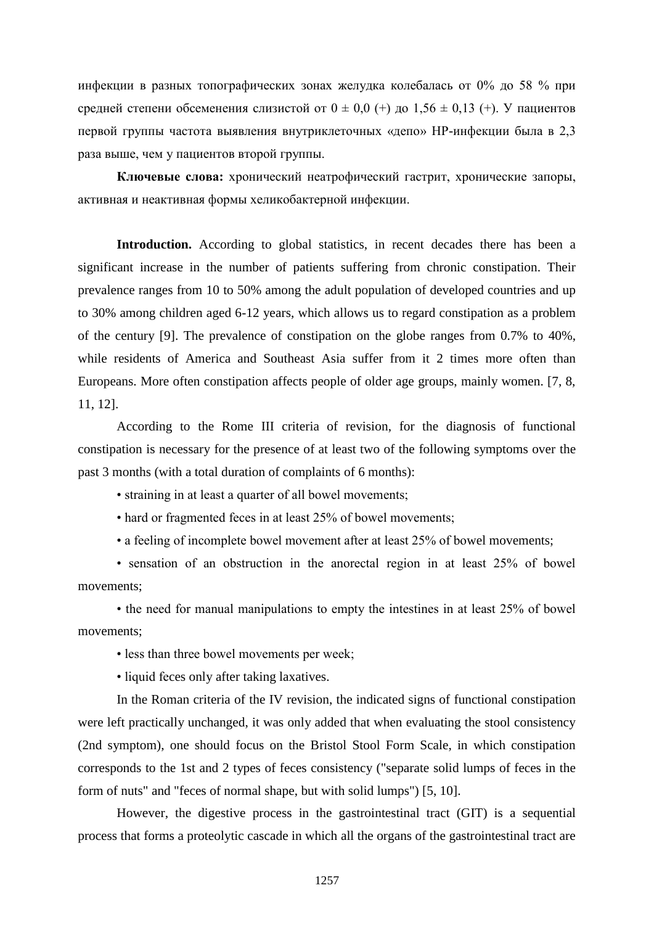инфекции в разных топографических зонах желудка колебалась от 0% до 58 % при средней степени обсеменения слизистой от  $0 \pm 0.0$  (+) до  $1.56 \pm 0.13$  (+). У пациентов первой группы частота выявления внутриклеточных «депо» НР-инфекции была в 2,3 раза выше, чем у пациентов второй группы.

**Ключевые слова:** хронический неатрофический гастрит, хронические запоры, активная и неактивная формы хеликобактерной инфекции.

Introduction. According to global statistics, in recent decades there has been a significant increase in the number of patients suffering from chronic constipation. Their prevalence ranges from 10 to 50% among the adult population of developed countries and up to 30% among children aged 6-12 years, which allows us to regard constipation as a problem of the century [9]. The prevalence of constipation on the globe ranges from 0.7% to 40%, while residents of America and Southeast Asia suffer from it 2 times more often than Europeans. More often constipation affects people of older age groups, mainly women. [7, 8, 11, 12].

According to the Rome III criteria of revision, for the diagnosis of functional constipation is necessary for the presence of at least two of the following symptoms over the past 3 months (with a total duration of complaints of 6 months):

• straining in at least a quarter of all bowel movements;

• hard or fragmented feces in at least 25% of bowel movements;

• a feeling of incomplete bowel movement after at least 25% of bowel movements;

• sensation of an obstruction in the anorectal region in at least 25% of bowel movements;

• the need for manual manipulations to empty the intestines in at least 25% of bowel movements;

• less than three bowel movements per week;

• liquid feces only after taking laxatives.

In the Roman criteria of the IV revision, the indicated signs of functional constipation were left practically unchanged, it was only added that when evaluating the stool consistency (2nd symptom), one should focus on the Bristol Stool Form Scale, in which constipation corresponds to the 1st and 2 types of feces consistency ("separate solid lumps of feces in the form of nuts" and "feces of normal shape, but with solid lumps") [5, 10].

However, the digestive process in the gastrointestinal tract (GIT) is a sequential process that forms a proteolytic cascade in which all the organs of the gastrointestinal tract are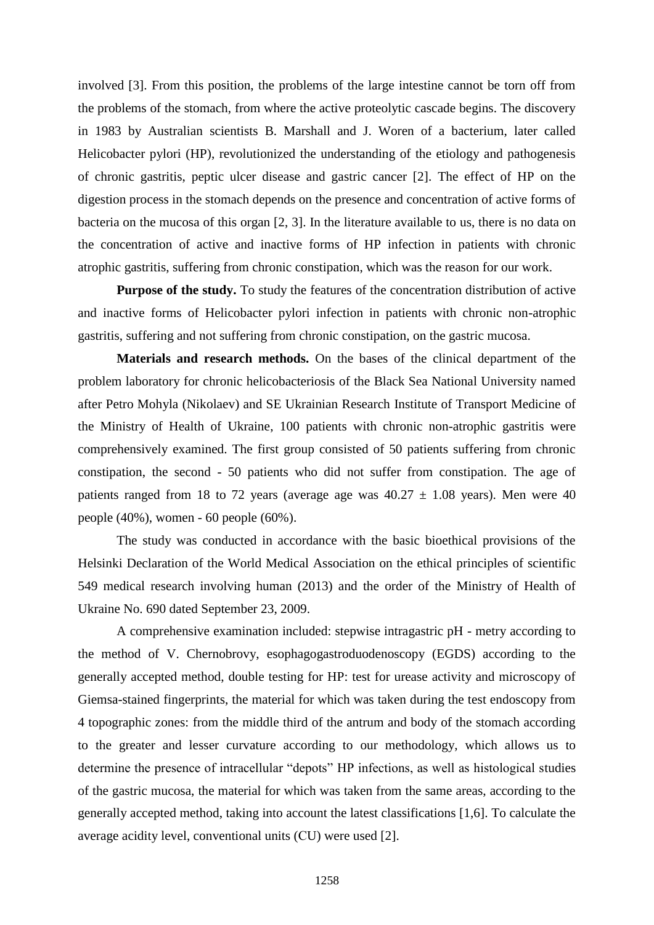involved [3]. From this position, the problems of the large intestine cannot be torn off from the problems of the stomach, from where the active proteolytic cascade begins. The discovery in 1983 by Australian scientists B. Marshall and J. Woren of a bacterium, later called Helicobacter pylori (HP), revolutionized the understanding of the etiology and pathogenesis of chronic gastritis, peptic ulcer disease and gastric cancer [2]. The effect of HP on the digestion process in the stomach depends on the presence and concentration of active forms of bacteria on the mucosa of this organ [2, 3]. In the literature available to us, there is no data on the concentration of active and inactive forms of HP infection in patients with chronic atrophic gastritis, suffering from chronic constipation, which was the reason for our work.

**Purpose of the study.** To study the features of the concentration distribution of active and inactive forms of Helicobacter pylori infection in patients with chronic non-atrophic gastritis, suffering and not suffering from chronic constipation, on the gastric mucosa.

**Materials and research methods.** On the bases of the clinical department of the problem laboratory for chronic helicobacteriosis of the Black Sea National University named after Petro Mohyla (Nikolaev) and SE Ukrainian Research Institute of Transport Medicine of the Ministry of Health of Ukraine, 100 patients with chronic non-atrophic gastritis were comprehensively examined. The first group consisted of 50 patients suffering from chronic constipation, the second - 50 patients who did not suffer from constipation. The age of patients ranged from 18 to 72 years (average age was  $40.27 \pm 1.08$  years). Men were 40 people (40%), women - 60 people (60%).

The study was conducted in accordance with the basic bioethical provisions of the Helsinki Declaration of the World Medical Association on the ethical principles of scientific 549 medical research involving human (2013) and the order of the Ministry of Health of Ukraine No. 690 dated September 23, 2009.

A comprehensive examination included: stepwise intragastric pH - metry according to the method of V. Chernobrovy, esophagogastroduodenoscopy (EGDS) according to the generally accepted method, double testing for HP: test for urease activity and microscopy of Giemsa-stained fingerprints, the material for which was taken during the test endoscopy from 4 topographic zones: from the middle third of the antrum and body of the stomach according to the greater and lesser curvature according to our methodology, which allows us to determine the presence of intracellular "depots" HP infections, as well as histological studies of the gastric mucosa, the material for which was taken from the same areas, according to the generally accepted method, taking into account the latest classifications [1,6]. To calculate the average acidity level, conventional units (СU) were used [2].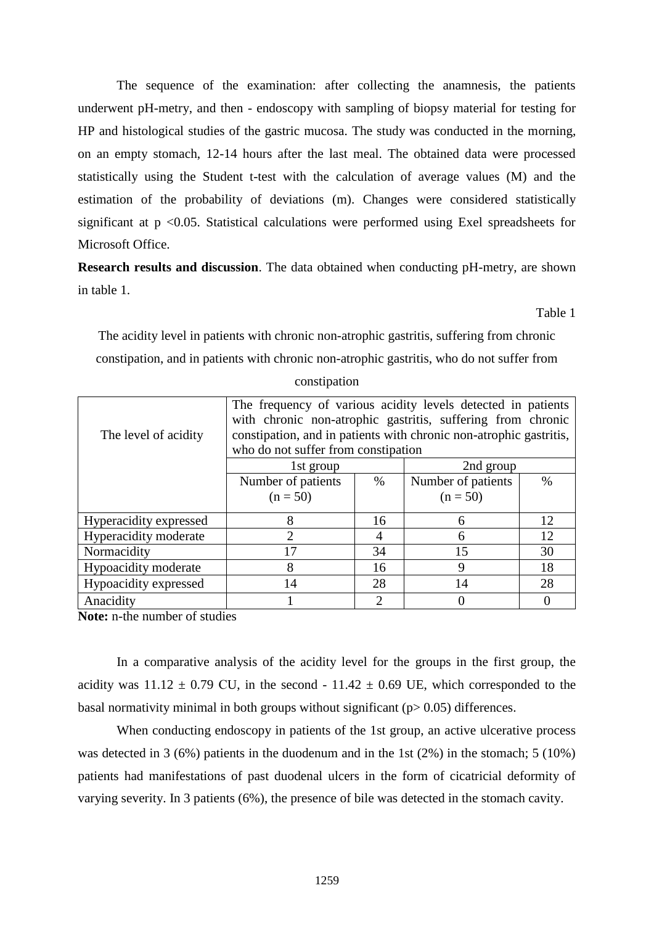The sequence of the examination: after collecting the anamnesis, the patients underwent pH-metry, and then - endoscopy with sampling of biopsy material for testing for HP and histological studies of the gastric mucosa. The study was conducted in the morning, on an empty stomach, 12-14 hours after the last meal. The obtained data were processed statistically using the Student t-test with the calculation of average values (M) and the estimation of the probability of deviations (m). Changes were considered statistically significant at  $p \le 0.05$ . Statistical calculations were performed using Exel spreadsheets for Microsoft Office.

**Research results and discussion**. The data obtained when conducting pH-metry, are shown in table 1.

Table 1

The acidity level in patients with chronic non-atrophic gastritis, suffering from chronic constipation, and in patients with chronic non-atrophic gastritis, who do not suffer from constipation

| The level of acidity   | The frequency of various acidity levels detected in patients<br>with chronic non-atrophic gastritis, suffering from chronic<br>constipation, and in patients with chronic non-atrophic gastritis,<br>who do not suffer from constipation |               |                    |      |
|------------------------|------------------------------------------------------------------------------------------------------------------------------------------------------------------------------------------------------------------------------------------|---------------|--------------------|------|
|                        | 2nd group<br>1st group                                                                                                                                                                                                                   |               |                    |      |
|                        | Number of patients                                                                                                                                                                                                                       | $\%$          | Number of patients | $\%$ |
|                        | $(n = 50)$                                                                                                                                                                                                                               |               | $(n = 50)$         |      |
| Hyperacidity expressed | 8                                                                                                                                                                                                                                        | 16            | 6                  | 12   |
| Hyperacidity moderate  | 2                                                                                                                                                                                                                                        | 4             | 6                  | 12   |
| Normacidity            | 17                                                                                                                                                                                                                                       | 34            | 15                 | 30   |
| Hypoacidity moderate   | 8                                                                                                                                                                                                                                        | 16            | 9                  | 18   |
| Hypoacidity expressed  | 14                                                                                                                                                                                                                                       | 28            | 14                 | 28   |
| Anacidity              |                                                                                                                                                                                                                                          | $\mathcal{D}$ |                    |      |

**Note:** n-the number of studies

In a comparative analysis of the acidity level for the groups in the first group, the acidity was  $11.12 \pm 0.79$  CU, in the second -  $11.42 \pm 0.69$  UE, which corresponded to the basal normativity minimal in both groups without significant  $(p > 0.05)$  differences.

When conducting endoscopy in patients of the 1st group, an active ulcerative process was detected in 3 (6%) patients in the duodenum and in the 1st (2%) in the stomach; 5 (10%) patients had manifestations of past duodenal ulcers in the form of cicatricial deformity of varying severity. In 3 patients (6%), the presence of bile was detected in the stomach cavity.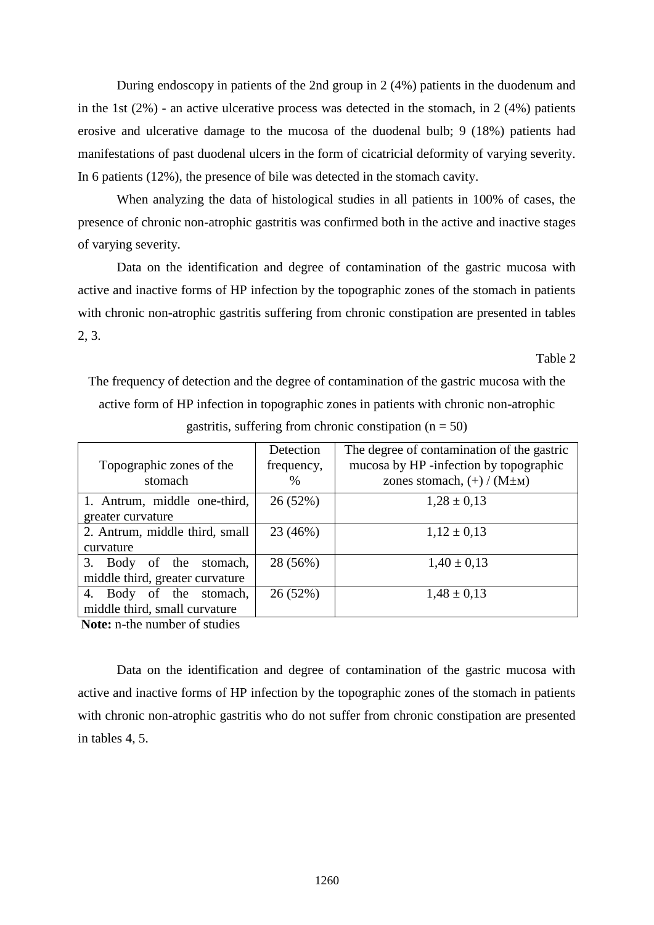During endoscopy in patients of the 2nd group in 2 (4%) patients in the duodenum and in the 1st  $(2\%)$  - an active ulcerative process was detected in the stomach, in 2 (4%) patients erosive and ulcerative damage to the mucosa of the duodenal bulb; 9 (18%) patients had manifestations of past duodenal ulcers in the form of cicatricial deformity of varying severity. In 6 patients (12%), the presence of bile was detected in the stomach cavity.

When analyzing the data of histological studies in all patients in 100% of cases, the presence of chronic non-atrophic gastritis was confirmed both in the active and inactive stages of varying severity.

Data on the identification and degree of contamination of the gastric mucosa with active and inactive forms of HP infection by the topographic zones of the stomach in patients with chronic non-atrophic gastritis suffering from chronic constipation are presented in tables 2, 3.

Table 2

The frequency of detection and the degree of contamination of the gastric mucosa with the active form of HP infection in topographic zones in patients with chronic non-atrophic gastritis, suffering from chronic constipation ( $n = 50$ )

|                                                                                                                                                                                                                                                                                                  | Detection  | The degree of contamination of the gastric |
|--------------------------------------------------------------------------------------------------------------------------------------------------------------------------------------------------------------------------------------------------------------------------------------------------|------------|--------------------------------------------|
| Topographic zones of the                                                                                                                                                                                                                                                                         | frequency, | mucosa by HP -infection by topographic     |
| stomach                                                                                                                                                                                                                                                                                          | $\%$       | zones stomach, $(+)$ / (M $\pm$ M)         |
| 1. Antrum, middle one-third,                                                                                                                                                                                                                                                                     | 26 (52%)   | $1,28 \pm 0,13$                            |
| greater curvature                                                                                                                                                                                                                                                                                |            |                                            |
| 2. Antrum, middle third, small                                                                                                                                                                                                                                                                   | 23 (46%)   | $1,12 \pm 0,13$                            |
| curvature                                                                                                                                                                                                                                                                                        |            |                                            |
| 3. Body of the stomach,                                                                                                                                                                                                                                                                          | 28 (56%)   | $1,40 \pm 0,13$                            |
| middle third, greater curvature                                                                                                                                                                                                                                                                  |            |                                            |
| Body of the stomach,<br>4.                                                                                                                                                                                                                                                                       | 26 (52%)   | $1,48 \pm 0,13$                            |
| middle third, small curvature                                                                                                                                                                                                                                                                    |            |                                            |
| $\mathbf{M}$ and $\mathbf{M}$ and $\mathbf{M}$ and $\mathbf{M}$ are $\mathbf{M}$ and $\mathbf{M}$ and $\mathbf{M}$ are $\mathbf{M}$ and $\mathbf{M}$ are $\mathbf{M}$ and $\mathbf{M}$ are $\mathbf{M}$ and $\mathbf{M}$ are $\mathbf{M}$ and $\mathbf{M}$ are $\mathbf{M}$ and $\mathbf{M}$ are |            |                                            |

**Note:** n-the number of studies

Data on the identification and degree of contamination of the gastric mucosa with active and inactive forms of HP infection by the topographic zones of the stomach in patients with chronic non-atrophic gastritis who do not suffer from chronic constipation are presented in tables 4, 5.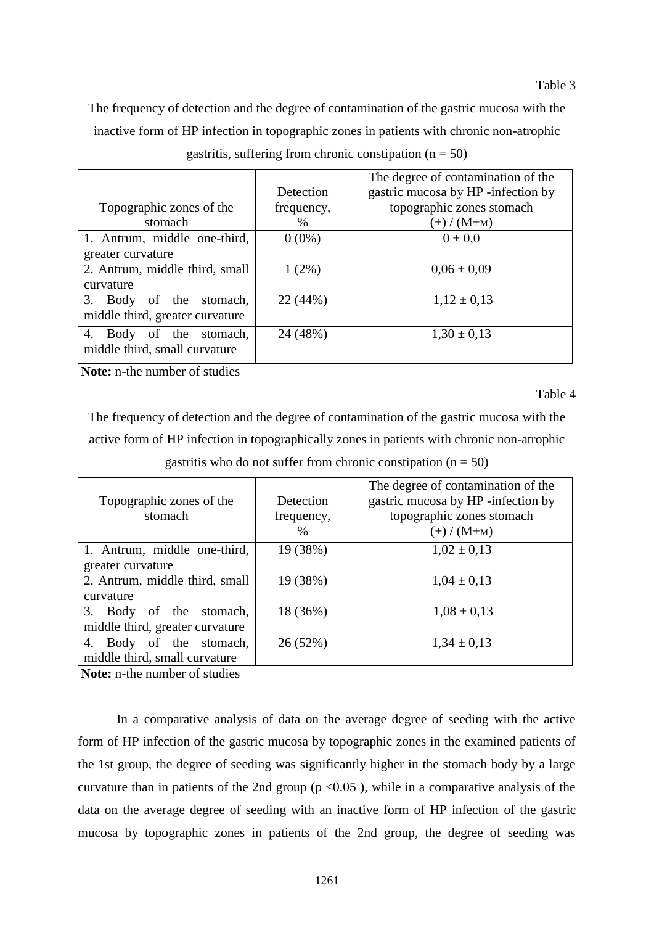The frequency of detection and the degree of contamination of the gastric mucosa with the inactive form of HP infection in topographic zones in patients with chronic non-atrophic

|                                 |            | The degree of contamination of the |
|---------------------------------|------------|------------------------------------|
|                                 | Detection  | gastric mucosa by HP -infection by |
| Topographic zones of the        | frequency, | topographic zones stomach          |
| stomach                         | $\%$       | $(+)$ / $(M \pm M)$                |
| 1. Antrum, middle one-third,    | $0(0\%)$   | $0 \pm 0.0$                        |
| greater curvature               |            |                                    |
| 2. Antrum, middle third, small  | $1(2\%)$   | $0.06 \pm 0.09$                    |
| curvature                       |            |                                    |
| 3. Body of the<br>stomach,      | 22 (44%)   | $1,12 \pm 0,13$                    |
| middle third, greater curvature |            |                                    |
| Body of the stomach,<br>4.      | 24 (48%)   | $1,30 \pm 0,13$                    |
| middle third, small curvature   |            |                                    |
|                                 |            |                                    |

gastritis, suffering from chronic constipation  $(n = 50)$ 

**Note:** n-the number of studies

Table 4

The frequency of detection and the degree of contamination of the gastric mucosa with the active form of HP infection in topographically zones in patients with chronic non-atrophic

| Topographic zones of the<br>stomach | Detection<br>frequency,<br>$\%$ | The degree of contamination of the<br>gastric mucosa by HP -infection by<br>topographic zones stomach<br>$(+)$ / $(M \pm M)$ |
|-------------------------------------|---------------------------------|------------------------------------------------------------------------------------------------------------------------------|
| 1. Antrum, middle one-third,        | 19 (38%)                        | $1,02 \pm 0,13$                                                                                                              |
| greater curvature                   |                                 |                                                                                                                              |
| 2. Antrum, middle third, small      | 19 (38%)                        | $1,04 \pm 0,13$                                                                                                              |
| curvature                           |                                 |                                                                                                                              |
| 3. Body of the stomach,             | 18 (36%)                        | $1,08 \pm 0,13$                                                                                                              |
| middle third, greater curvature     |                                 |                                                                                                                              |
| 4. Body of the stomach,             | 26(52%)                         | $1,34 \pm 0,13$                                                                                                              |
| middle third, small curvature       |                                 |                                                                                                                              |
|                                     |                                 |                                                                                                                              |

gastritis who do not suffer from chronic constipation ( $n = 50$ )

**Note:** n-the number of studies

In a comparative analysis of data on the average degree of seeding with the active form of HP infection of the gastric mucosa by topographic zones in the examined patients of the 1st group, the degree of seeding was significantly higher in the stomach body by a large curvature than in patients of the 2nd group ( $p < 0.05$ ), while in a comparative analysis of the data on the average degree of seeding with an inactive form of HP infection of the gastric mucosa by topographic zones in patients of the 2nd group, the degree of seeding was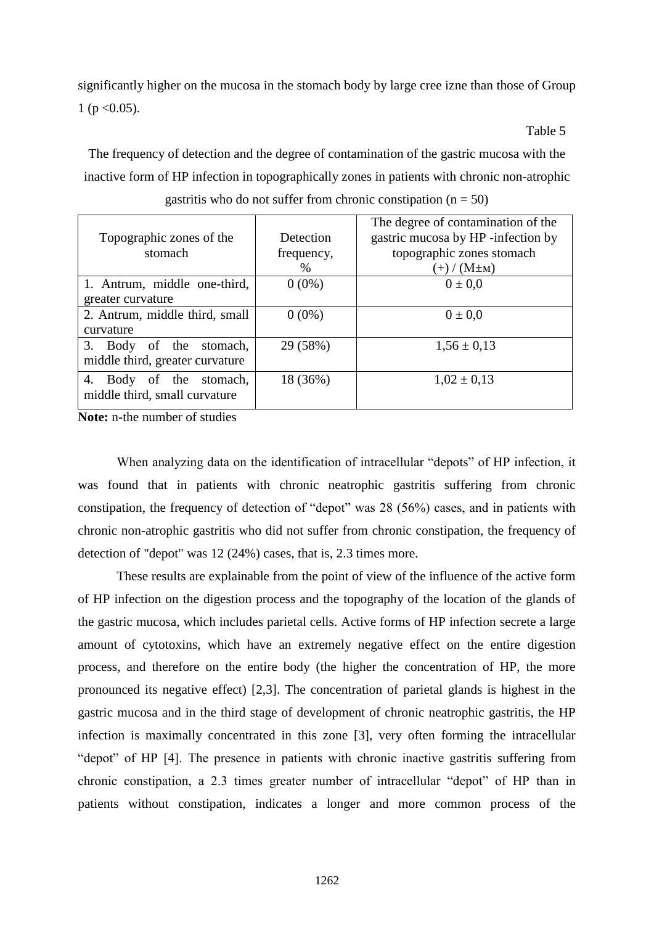significantly higher on the mucosa in the stomach body by large cree izne than those of Group 1 ( $p < 0.05$ ).

**Table 5** 

| gastritis who do not suffer from chronic constipation ( $n = 50$ ) |                                 |                                                                                                                            |  |  |
|--------------------------------------------------------------------|---------------------------------|----------------------------------------------------------------------------------------------------------------------------|--|--|
| Topographic zones of the<br>stomach                                | Detection<br>frequency,<br>$\%$ | The degree of contamination of the<br>gastric mucosa by HP -infection by<br>topographic zones stomach<br>$(+) / (M \pm M)$ |  |  |
| 1. Antrum, middle one-third,                                       | $0(0\%)$                        | $0 \pm 0.0$                                                                                                                |  |  |
| greater curvature                                                  |                                 |                                                                                                                            |  |  |
| 2. Antrum, middle third, small<br>curvature                        | $0(0\%)$                        | $0 \pm 0.0$                                                                                                                |  |  |
| 3. Body of the stomach,<br>middle third, greater curvature         | 29 (58%)                        | $1,56 \pm 0,13$                                                                                                            |  |  |

18 (36%)  $1,02 \pm 0,13$ 

The frequency of detection and the degree of contamination of the gastric mucosa with the inactive form of HP infection in topographically zones in patients with chronic non-atrophic

**Note:** n-the number of studies

middle third, small curvature

Body of the stomach,

When analyzing data on the identification of intracellular "depots" of HP infection, it was found that in patients with chronic neatrophic gastritis suffering from chronic constipation, the frequency of detection of "depot" was 28 (56%) cases, and in patients with chronic non-atrophic gastritis who did not suffer from chronic constipation, the frequency of detection of "depot" was 12 (24%) cases, that is, 2.3 times more.

These results are explainable from the point of view of the influence of the active form of HP infection on the digestion process and the topography of the location of the glands of the gastric mucosa, which includes parietal cells. Active forms of HP infection secrete a large amount of cytotoxins, which have an extremely negative effect on the entire digestion process, and therefore on the entire body (the higher the concentration of HP, the more pronounced its negative effect) [2,3]. The concentration of parietal glands is highest in the gastric mucosa and in the third stage of development of chronic neatrophic gastritis, the HP infection is maximally concentrated in this zone [3], very often forming the intracellular "depot" of HP [4]. The presence in patients with chronic inactive gastritis suffering from chronic constipation, a 2.3 times greater number of intracellular "depot" of HP than in patients without constipation, indicates a longer and more common process of the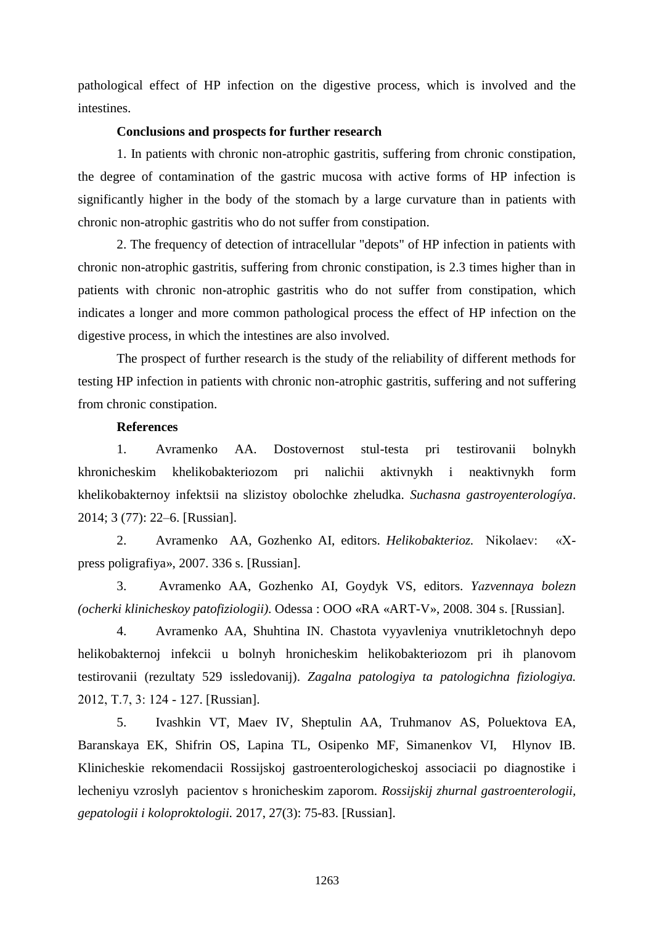pathological effect of HP infection on the digestive process, which is involved and the intestines.

#### **Conclusions and prospects for further research**

1. In patients with chronic non-atrophic gastritis, suffering from chronic constipation, the degree of contamination of the gastric mucosa with active forms of HP infection is significantly higher in the body of the stomach by a large curvature than in patients with chronic non-atrophic gastritis who do not suffer from constipation.

2. The frequency of detection of intracellular "depots" of HP infection in patients with chronic non-atrophic gastritis, suffering from chronic constipation, is 2.3 times higher than in patients with chronic non-atrophic gastritis who do not suffer from constipation, which indicates a longer and more common pathological process the effect of HP infection on the digestive process, in which the intestines are also involved.

The prospect of further research is the study of the reliability of different methods for testing HP infection in patients with chronic non-atrophic gastritis, suffering and not suffering from chronic constipation.

#### **References**

1. Avramenko AA. Dostovernost stul-testa pri testirovanii bolnykh khronicheskim khelikobakteriozom pri nalichii aktivnykh i neaktivnykh form khelikobakternoy infektsii na slizistoy obolochke zheludka. *Suchasna gastroyenterologíya*. 2014; 3 (77): 22–6. [Russian].

2. Avramenko AA, Gozhenko AI, editors. *Helikobakterioz.* Nikolaev: «Хpress poligrafiya», 2007. 336 s. [Russian].

3. Avramenko AA, Gozhenko AI, Goydyk VS, editors. *Yаzvennaya bolezn (ocherki klinicheskoy patofiziologii)*. Odessa : OOO «RA «ART-V», 2008. 304 s. [Russian].

4. Avramenko AA, Shuhtina IN. Chastota vyyavleniya vnutrikletochnyh depo helikobakternoj infekcii u bolnyh hronicheskim helikobakteriozom pri ih planovom testirovanii (rezultaty 529 issledovanij). *Zagalna patologiya ta patologichna fiziologiya.* 2012, Т.7, 3: 124 - 127. [Russian].

5. Ivashkin VT, Maev IV, Sheptulin AA, Truhmanov AS, Poluektova EA, Baranskaya EK, Shifrin OS, Lapina TL, Osipenko MF, Simanenkov VI, Hlynov IB. Klinicheskie rekomendacii Rossijskoj gastroenterologicheskoj associacii po diagnostike i lecheniyu vzroslyh pacientov s hronicheskim zaporom. *Rossijskij zhurnal gastroenterologii, gepatologii i koloproktologii.* 2017, 27(3): 75-83. [Russian].